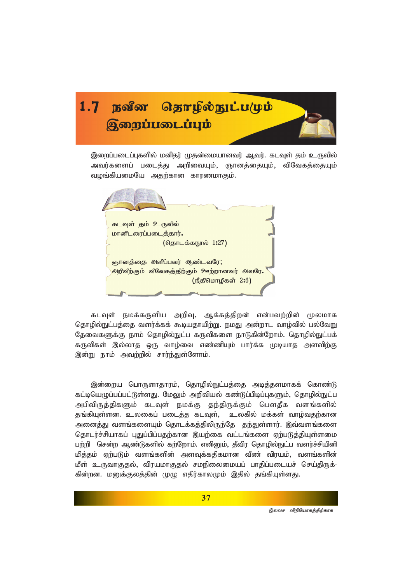

இறைப்படைப்புகளில் மனிதர் முதன்மையானவர் ஆவர். கடவுள் தம் உருவில் அவர்களைப் படைக்கு அறிவையும், ஞானக்கையும், விவேகக்கையும் வழங்கியமையே அதற்கான காரணமாகும்.



கடவுள் நமக்கருளிய அறிவு, ஆக்கத்திறன் என்பவற்றின் மூலமாக தொழில்நுட்பத்தை வளர்க்கக் கூடியதாயிற்று. நமது அன்றாட வாழ்வில் பல்வேறு தேவைகளுக்கு நாம் தொழில்நுட்ப கருவிகளை நாடுகின்றோம். தொழில்நுட்பக் கருவிகள் இல்லாத ஒரு வாழ்வை எண்ணியும் பார்க்க முடியாத அளவிற்கு இன்று நாம் அவற்றில் சார்ந்துள்ளோம்.

இன்றைய பொருளாதாரம், தொழில்நுட்பத்தை அடித்தளமாகக் கொண்டு கட்டியெழுப்பப்பட்டுள்ளது. மேலும் அறிவியல் கண்டுப்பிடிப்புகளும், தொழில்நுட்ப அபிவிருத்திகளும் கடவுள் நமக்கு தந்திருக்கும் பௌதீக வளங்களில் தங்கியுள்ளன. உலகைப் படைத்த கடவுள், உலகில் மக்கள் வாழ்வதற்கான அனைத்து வளங்களையும் தொடக்கத்திலிருந்தே தந்துள்ளார். இவ்வளங்களை தொடர்ச்சியாகப் புதுப்பிப்பதற்கான இயற்கை வட்டங்களை ஏற்படுத்தியுள்ளமை பற்றி \_ சென்ற ஆண்டுகளில் கற்றோம். எனினும், தீவிர தொழில்நுட்ப வளர்ச்சியினி மிக்கம் ஏற்படும் வளங்களின் அளவக்ககிகமான வீண் விரயம், வளங்களின் மீள் உருவாகுதல், விரயமாகுதல் சமநிலைமையப் பாதிப்படையச் செய்திருக்-கின்றன. மனுக்குலத்தின் முழு எதிர்காலமும் இதில் தங்கியுள்ளது.

.<br>இலவச விநியோகத்திற்காக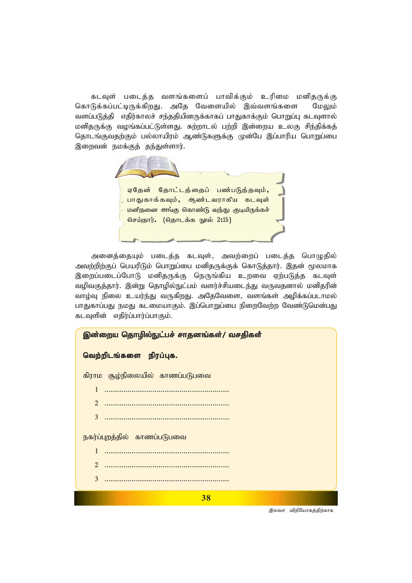கடவுள் படைத்த வளங்களைப் பாவிக்கும் உரிமை மனிதருக்கு கொடுக்கப்பட்டிருக்கிறது. அதே வேளையில் இவ்வளங்களை மேலும் வளப்படுத்தி எதிர்காலச் சந்ததியினருக்காகப் பாதுகாக்கும் பொறுப்பு கடவுளால் மனிதருக்கு வழங்கப்பட்டுள்ளது. சுற்றாடல் பற்றி இன்றைய உலகு சிந்திக்கத் தொடங்குவதற்கும் பல்லாயிரம் ஆண்டுகளுக்கு முன்பே இப்பாரிய பொறுப்பை இறைவன் நமக்குத் தந்துள்ளார்.

> ஏதேன் தோட்டத்தைப் பண்படுத்தவும், பாதுகாக்கவும், ஆண்டவராகிய கடவுள் மனிதனை அங்கு கொண்டு வந்து குடியிருக்கச் *nra;jhu;. (njhlf;f E}y; 2:15)*

அனைத்தையும் படைத்த கடவுள், அவற்றைப் படைத்த பொழுதில் அவற்றிற்குப் பெயரிடும் பொறுப்பை மனிதருக்குக் கொடுத்தார். இதன் மூலமாக இறைப்படைப்போடு மனிதருக்கு நெருங்கிய உறவை ஏற்படுத்த கடவுள் வழிவகுத்தார். இன்று தொழில்நுட்பம் வளர்ச்சியடைந்து வருவதனால் மனிதரின் வாழ்வு நிலை உயர்ந்து வருகிறது. அதேவேளை, வளங்கள் அழிக்கப்படாமல் பாதுகாப்பது நமது கடமையாகும். இப்பொறுப்பை நிறைவேற்ற வேண்டுமென்பது கடவுளின் எதிர்ப்பார்ப்பாகும்.

| இன்றைய தொழில்நுட்பச் சாதனங்கள்/ வசதிகள் |  |
|-----------------------------------------|--|
| வெற்றிடங்களை நிரப்புக.                  |  |
| கிராம சூழ்நிலையில் காணப்படுபவை          |  |
| 1                                       |  |
| 2                                       |  |
| 3                                       |  |
| நகர்ப்புறத்தில் காணப்படுபவை             |  |
| 1                                       |  |
| $\mathcal{D}_{\cdot}$                   |  |
| 3                                       |  |
| 38                                      |  |
| இலவச விநியோகத்திற்காக                   |  |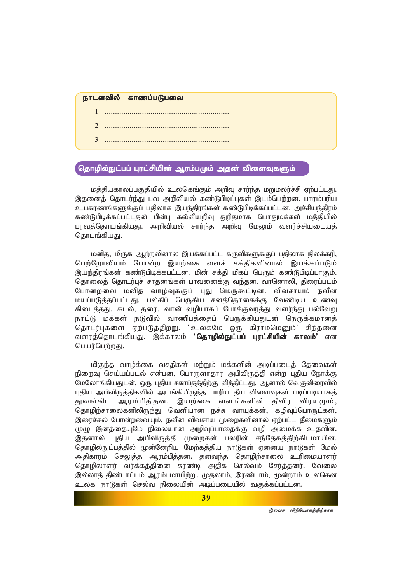#### நாடளவில் காணப்படுபவை

- *1 ............................................................*
- *2 ............................................................*
- *3 ............................................................*

### தொழில்நுட்பப் புரட்சியின் ஆரம்பமும் அதன் விளைவுகளும்

மத்தியகாலப்பகுதியில் உலகெங்கும் அறிவு சார்ந்த மறுமலர்ச்சி ஏற்பட்டது. இதனைத் தொடர்ந்து பல அறிவியல் கண்டுபிடிப்புகள் இடம்பெற்றன. பாரம்பரிய உபகரணங்களுக்குப் பதிலாக இயந்திரங்கள் கண்டுபிடிக்கப்பட்டன. அச்சியந்திரம் கண்டுபிடிக்கப்பட்டதன் பின்பு கல்வியறிவு துரிதமாக பொதுமக்கள் மக்தியில் பரவத்தொடங்கியது. அறிவியல் சார்ந்த அறிவு மேலும் வளர்ச்சியடையத் கொடங்கியகு.

மனித, மிருக ஆற்றலினால் இயக்கப்பட்ட கருவிகளுக்குப் பதிலாக நிலக்கரி, பெற்றோலியம் போன்ற இயற்கை வளச் சக்திகளினால் இயக்கப்படும் இயந்திரங்கள் கண்டுபிடிக்கபட்டன. மின் சக்தி மிகப் பெரும் கண்டுபிடிப்பாகும். தொலைத் தொடர்புச் சாதனங்கள் பாவனைக்கு வந்தன. வானொலி, திரைப்படம் போன்றவை மனித வாழ்வுக்குப் புது மெருகூட்டின. விவசாயம் நவீன மயப்படுத்தப்பட்டது. பல்கிப் பெருகிய சனத்தொகைக்கு வேண்டிய உணவு கிடைத்தது, கடல், தரை, வான் வழியாகப் போக்குவரத்து வளர்ந்து பல்வேறு நாட்டு மக்கள் நடுவில் வாணிபத்தைப் பெருக்கியதுடன் நெருக்கமானத் தொடர்புகளை ஏற்படுத்திற்று. 'உலகமே ஒரு கிராமமெனும்' சிந்தனை வளரத்தொடங்கியது. இக்காலம் **'தொழில்நுட்பப் புரட்சியின் காலம்'** என பெயர்பெற்றது.

மிகுந்த வாழ்க்கை வசதிகள் மற்றும் மக்களின் அடிப்படைத் தேவைகள் நிறைவு செய்யப்படல் என்பன, பொருளாதார அபிவிருத்தி என்ற புதிய நோக்கு மேலோங்கியதுடன், ஒரு புதிய சகாப்தத்திற்கு வித்திட்டது. ஆனால் வெகுவிரைவில் புதிய அபிவிருத்திகளில் அடங்கியிருந்த பாரிய தீய விளைவுகள் படிப்படியாகத் துலங்கிட ஆரம்பித்தன. இயற்கை வளங்களின் தீவிர விரயமும், தொழிற்சாலைகளிலிருந்து வெளியான நச்சு வாயுக்கள், கழிவுப்பொருட்கள், இரைச்சல் போன்றவையும், நவீன விவசாய முறைகளினால் ஏற்பட்ட தீமைகளும் முமு இனக்கையுமே நிலையான அமிவுப்பாகைக்கு வமி அமைக்க உ**தவின.** இதனால் புதிய அபிவிருத்தி முறைகள் பலரின் சந்தேகத்திற்கிடமாயின. தொழில்நுட்பத்தில் முன்னேறிய மேற்கத்திய நாடுகள் ஏனைய நாடுகள் மேல் அதிகாரம் செலுத்த ஆரம்பித்தன. தனவந்த தொழிற்சாலை உரிமையாளர் தொழிலாளர் வர்க்கத்தினை சுரண்டி அதிக செல்வம் சேர்த்தனர். வேலை இல்லாத் திண்டாட்டம் ஆரம்பமாயிற்று. முதலாம், இரண்டாம், மூன்றாம் உலகென உலக நாடுகள் செல்வ நிலையின் அடிப்படையில் வகுக்கப்பட்டன.

<sup>,&</sup>lt;br>*இலவச விநியோகத்திற்காக*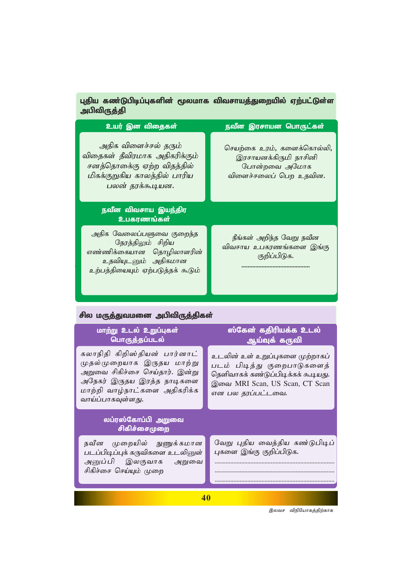# புதிய கண்டுபிடிப்புகளின் மூலமாக விவசாயத்துறையில் ஏற்பட்டுள்ள அபிவிருத்தி

| உயர் இன விதைகள்                                                                                                                         | நவீன இரசாயன பொருட்கள்                                                                         |
|-----------------------------------------------------------------------------------------------------------------------------------------|-----------------------------------------------------------------------------------------------|
| அதிக விளைச்சல் தரும்<br>விதைகள் தீவிரமாக அதிகரிக்கும்<br>சனத்தொகை்கு ஏற்ற விதத்தில்<br>மிகக்குறுகிய காலத்தில் பாரிய<br>பலன் தரக்கூடியன. | செயற்கை உரம், களைக்கொல்லி,<br>இரசாயனக்கிருமி நாசினி<br>போன்றவை அமோக<br>விளைச்சலைப் பெற உதவின. |
| நவீன விவசாய இயந்திர<br>உபகரணங்கள்                                                                                                       |                                                                                               |
| அதிக வேலைப்பளுவை குறைந்த<br>நேரத்திலும் சிறிய<br>எண்ணிக்கையான தொழிலாளரின்<br>உதவியுடனும் அதிகமான<br>உற்பத்தியையும் ஏற்படுத்தக் கூடும்   | நீங்கள் அறிந்த வேறு நவீன<br>விவசாய உபகரணங்களை இங்கு<br>குறிப்பிடுக.                           |
| சில மர <u>ுத்த</u> ுவமனை அபிவிருத்திகள்                                                                                                 |                                                                                               |
| மாற்று உடல் உறுப்புகள்                                                                                                                  | ஸ்கேன் கதிரியக்க உடல்                                                                         |
| <mark>பொருத்தப்படல்</mark>                                                                                                              | ஆய்வுக் கருவி                                                                                 |

ப்புகளை முற்றா படம் பிடித்து குறைபாடுகளைத் தெளிவாகக் கண்டுப்பிடிக்கக் கூடியது. இவை MRI Scan, US Scan, CT Scan என பல தரப்பட்டவை.

# லப்ரஸ்கோப்பி அறுவை சிகிச்சைமுறை

முதல்முறையாக இருதய மாற்று அறுவை சிகிச்சை செய்தார். இன்று அநேகர் இருதய இரத்த நாடிகளை மாற்றி வாழ்நாட்களை அதிகரிக்க

வாய்ப்பாகவுள்ளது.

நவீன முறையில் நுணுக்கமான படப்பிடிப்புக் கருவிகளை உடலினுள் அனுப்பி இலகுவாக அறுவை ்.<br>சிகிச்சை செய்யும் முறை

வேறு புதிய வைத்திய கண்டுபிடிப் புகளை இங்கு குறிப்பிடுக.

.............................................................................

.............................................................................

**40**

*இலவச விநியோகத்திற்காக*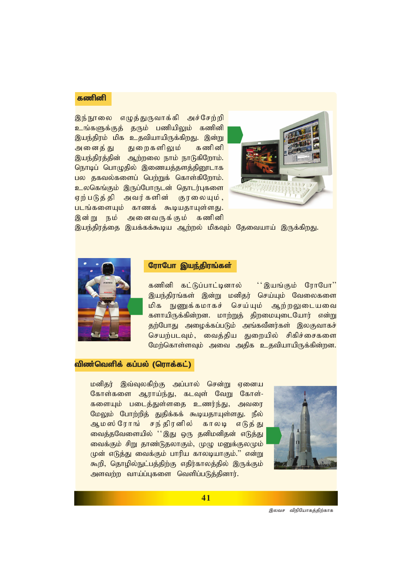## கணினி

இந்நூலை எழுத்துருவாக்கி அச்சேற்றி <mark>உங்களுக்குத் தரும் பணியிலும் கணினி</mark> <u>இயந்திரம் மிக உதவியாயிருக்கிறது. இன்று</u> அனைத்து துறைகளிலும் கணினி இயந்திரத்தின் ஆற்றலை நாம் நாடுகிறோம். நொடிப் பொழுதில் இணையத்தளத்தினூடாக பல தகவல்களைப் பெற்றுக் கொள்கிறோம். <mark>உலகெங்கும் இருப்போருடன் தொடர்புகளை</mark> <mark>ஏற்படுத்தி அவர்களின்</mark> குரலையும், **படங்களையும் காணக் கூடியதாயுள்ளது.** இன்று நம் அனைவருக்கும் கணினி



இயந்திரத்தை இயக்கக்கூடிய ஆற்றல் மிகவும் தேவையாய் இருக்கி<u>றத</u>ு.



#### ரோபோ இயந்திரங்கள்

கணினி கட்டுப்பாட்டினால் <sup>'</sup>'இயங்கும் ரோபோ'' இயந்திரங்கள் இன்று மனிதர் செய்யும் வேலைகளை *மி*க நுணுக்கமாகச் செய்யும் ஆற்றலுடையவை ்களாயிருக்கின்றன. மாற்றுத் திறமையுடையோர் என்று தற்போது அழைக்கப்படும் அங்கவீனர்கள் இலகுவாகச் செயற்படவும், வைத்திய துறையில் சிகிச்சைகளை மேற்கொள்ளவும் அவை அதிக உதவியாயிருக்கின்றன.

### விண்வெளிக் கப்பல் (ரொக்கட்)

<mark>மனிதர் இவ்வுலகிற்கு அப்பால் சென்று ஏனைய</mark> கோள்களை ஆராய்ந்து, கடவுள் வேறு கோள்-களையும் படைத்துள்ளதை உணர்ந்து, அவரை மேலும் போற்றித் துதிக்கக் கூடியதாயுள்ளது. நீல் ஆமஸ்ரோங் சந்திரனில் காலடி எடுத்து வைத்தவேளையில் ''இது ஒரு தனிமனிதன் எடுத்து வைக்கும் சிறு தாண்டுதலாகும், முழு மனுக்குலமும் முன் எடுத்து வைக்கும் பாரிய காலடியாகும்." என்று கூறி, தொழில்நுட்பத்திற்கு எதிர்காலத்தில் இருக்கும் அளவற்ற வாய்ப்புகளை வெளிப்படுத்தினார்.



*இலவச விநியோகத்திற்காக*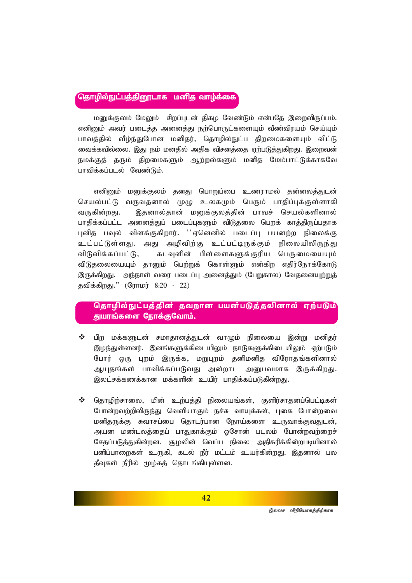## தொழில்நுட்பத்தினூடாக மனித வாழ்க்கை

மனுக்குலம் மேலும் சிறப்புடன் கிகம வேண்டும் என்பதே இறைவிருப்பம். எனினும் அவர் படைத்த அனைத்து நற்பொருட்களையும் வீண்விரயம் செய்யும் பாவத்தில் வீழ்ந்துபோன மனிதர், தொழில்நுட்ப திறமைகளையும் விட்டு வைக்கவில்லை. இது நம் மனதில் அதிக விசனக்கை எற்படுக்குகிறது. இறைவன் நமக்குத் தரும் திறமைகளும் ஆற்றல்களும் மனித மேம்பாட்டுக்காகவே பாவிக்கப்படல் வேண்டும்.

எனினும் மனுக்குலம் தனது பொறுப்பை உணராமல் தன்னலத்துடன் செயல்பட்டு வருவதனால் முழு உலகமும் பெரும் பாதிப்புக்குள்ளாகி வருகின்றது. இதனால்தான் மனுக்குலத்தின் பாவச் செயல்களினால் பாதிக்கப்பட்ட அனைத்துப் படைப்புகளும் விடுதலை பெறக் காத்திருப்பதாக புனித பவுல் விளக்குகிறார். ''ஏனெனில் படைப்பு பயனற்ற நிலைக்கு உட்பட்டுள்ளது. அது அழிவிற்கு உட்பட்டிருக்கும் நிலையிலிருந்து *tpLtpf;fg;gl;L> flTspd; gps;isfSf;Fupa ngUikiaAk;* விடுதலையையும் தானும் பெற்றுக் கொள்ளும் என்கிற எதிர்நோக்கோடு இருக்கிறது. அந்நாள் வரை படைப்பு அனைத்தும் (பேறுகால) வேதனையு<u>ற்று</u>த் *jtpf;fpwJ.|| (Nuhku; 8:20 - 22)*

### தொழில்நுட்பத்தின் தவறான பயன்படுத்தலினால் ஏற்படும் துயரங்களை நோக்குவோம்.

- **்** பிற மக்களுடன் சமாதானத்துடன் வாமும் நிலையை இன்று மனிதர் இழந்துள்ளனர். இனங்களுக்கிடையிலும் நாடுகளுக்கிடையிலும் ஏற்படும் போர் ஒரு புறம் இருக்க, மறுபுறம் தனிமனித விரோதங்களினால் ஆயுதங்கள் பாவிக்கப்படுவது அன்றாட அனுபவமாக இருக்கிறது. இலட்சக்கணக்கான மக்களின் உயிர் பாதிக்கப்படுகின்றது.
- ❖ தொழிற்சாலை, மின் உற்பத்தி நிலையங்கள், குளிர்சாதனப்பெட்டிகள் போன்றவற்றிலிருந்து வெளியாகும் நச்சு வாயுக்கள், புகை போன்றவை மனிதருக்கு சுவாசப்பை தொடர்பான நோய்களை உருவாக்குவதுடன், அயன மண்டலத்தைப் பாதுகாக்கும் ஓசோன் படலம் போன்றவற்றைச் சேதப்படுத்துகின்றன. சூழலின் வெப்ப நிலை அதிகரிக்கின்றபடியினால் பனிப்பாறைகள் உருகி, கடல் நீர் மட்டம் உயர்கின்றது. இதனால் பல தீவுகள் நீரில் மூழ்கத் தொடங்கியுள்ளன.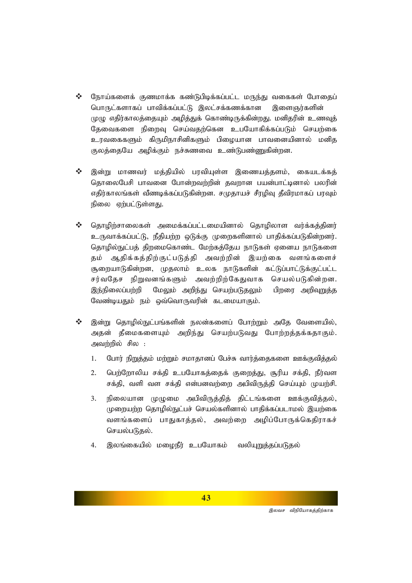- நோய்களைக் குணமாக்க கண்டுபிடிக்கப்பட்ட மருந்து வகைகள் போதைப்  $\frac{1}{2}$ பொருட்களாகப் பாவிக்கப்பட்டு இலட்சக்கணக்கான இளைஞர்களின் முழு எதிர்காலத்தையும் அழித்துக் கொண்டிருக்கின்றது. மனிதரின் உணவுத் தேவைகளை நிறைவு செய்வதற்கென உபயோகிக்கப்படும் செயற்கை உரவகைகளும் கிருமிநாசினிகளும் பிழையான பாவனையினால் மனித குலத்தையே அழிக்கும் நச்சுணவை உண்டுபண்ணுகின்றன.
- $\frac{1}{2}$ இன்று மாணவர் மத்தியில் பரவியுள்ள இணையத்தளம், கையடக்கத் தொலைபேசி பாவனை போன்றவற்றின் தவறான பயன்பாட்டினால் பலரின் எதிர்காலங்கள் வீணடிக்கப்படுகின்றன. சமுதாயச் சீரழிவு தீவிரமாகப் பரவும் நிலை ஏற்பட்டுள்ளது.
- $\frac{1}{2}$ தொழிற்சாலைகள் அமைக்கப்பட்டமையினால் தொழிலாள வர்க்கத்தினர் உருவாக்கப்பட்டு, நீதியற்ற ஒடுக்கு முறைகளினால் பாதிக்கப்படுகின்றனர். தொழில்நுட்பத் திறமைகொண்ட மேற்கத்தேய நாடுகள் ஏனைய நாடுகளை தம் ஆதிக்கத்திற்குட்படுத்தி அவற்றின் இயற்கை வளங்களைச் சூறையாடுகின்றன, முதலாம் உலக நாடுகளின் கட்டுப்பாட்டுக்குட்பட்ட சர்வதேச நிறுவனங்களும் அவற்றிற்கேதுவாக செயல்படுகின்றன. மேலும் அறிந்து செயற்படுதலும் இந்நிலைப்பற்றி பிறரை அறிவுறுத்த வேண்டியதும் நம் ஒவ்வொருவரின் கடமையாகும்.
- $\frac{1}{2}$ இன்று தொழில்நுட்பங்களின் நலன்களைப் போற்றும் அதே வேளையில், அதன் தீமைகளையும் அறிந்து செயற்படுவது போற்றத்தக்கதாகும். அவற்றில் சில :
	- போர் நிறுத்தம் மற்றும் சமாதானப் பேச்சு வார்த்தைகளை ஊக்குவித்தல் 1.
	- பெற்றோலிய சக்தி உபயோகத்தைக் குறைத்து, சூரிய சக்தி, நீர்வள  $2.$ சக்தி, வளி வள சக்தி என்பனவற்றை அபிவிருத்தி செய்யும் முயற்சி.
	- $3.$ நிலையான முழுமை அபிவிருத்தித் திட்டங்களை ஊக்குவித்தல், முறையற்ற தொழில்நுட்பச் செயல்களினால் பாதிக்கப்படாமல் இயற்கை வளங்களைப் பாதுகாத்தல், அவற்றை அழிப்போருக்கெதிராகச் செயல்படுதல்.
	- இலங்கையில் மமைநீர் உபயோகம் வலியுறுத்தப்படுதல்  $\overline{4}$ .